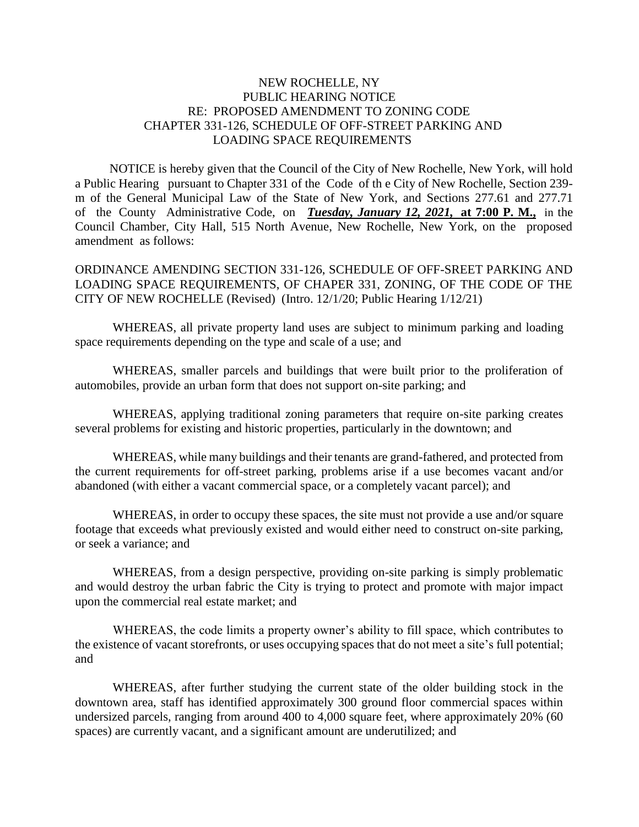## NEW ROCHELLE, NY PUBLIC HEARING NOTICE RE: PROPOSED AMENDMENT TO ZONING CODE CHAPTER 331-126, SCHEDULE OF OFF-STREET PARKING AND LOADING SPACE REQUIREMENTS

 NOTICE is hereby given that the Council of the City of New Rochelle, New York, will hold a Public Hearing pursuant to Chapter 331 of the Code of th e City of New Rochelle, Section 239 m of the General Municipal Law of the State of New York, and Sections 277.61 and 277.71 of the County Administrative Code, on *Tuesday, January 12, 2021,* **at 7:00 P. M.,** in the Council Chamber, City Hall, 515 North Avenue, New Rochelle, New York, on the proposed amendment as follows:

ORDINANCE AMENDING SECTION 331-126, SCHEDULE OF OFF-SREET PARKING AND LOADING SPACE REQUIREMENTS, OF CHAPER 331, ZONING, OF THE CODE OF THE CITY OF NEW ROCHELLE (Revised) (Intro. 12/1/20; Public Hearing 1/12/21)

WHEREAS, all private property land uses are subject to minimum parking and loading space requirements depending on the type and scale of a use; and

WHEREAS, smaller parcels and buildings that were built prior to the proliferation of automobiles, provide an urban form that does not support on-site parking; and

WHEREAS, applying traditional zoning parameters that require on-site parking creates several problems for existing and historic properties, particularly in the downtown; and

WHEREAS, while many buildings and their tenants are grand-fathered, and protected from the current requirements for off-street parking, problems arise if a use becomes vacant and/or abandoned (with either a vacant commercial space, or a completely vacant parcel); and

WHEREAS, in order to occupy these spaces, the site must not provide a use and/or square footage that exceeds what previously existed and would either need to construct on-site parking, or seek a variance; and

WHEREAS, from a design perspective, providing on-site parking is simply problematic and would destroy the urban fabric the City is trying to protect and promote with major impact upon the commercial real estate market; and

WHEREAS, the code limits a property owner's ability to fill space, which contributes to the existence of vacant storefronts, or uses occupying spaces that do not meet a site's full potential; and

WHEREAS, after further studying the current state of the older building stock in the downtown area, staff has identified approximately 300 ground floor commercial spaces within undersized parcels, ranging from around 400 to 4,000 square feet, where approximately 20% (60 spaces) are currently vacant, and a significant amount are underutilized; and